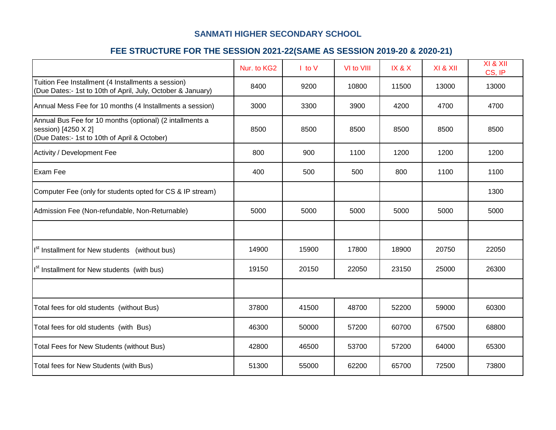# **SANMATI HIGHER SECONDARY SCHOOL**

# **FEE STRUCTURE FOR THE SESSION 2021-22(SAME AS SESSION 2019-20 & 2020-21)**

|                                                                                                                                 | Nur. to KG2 | $\mathsf I$ to $\mathsf V$ | VI to VIII | IX & X | XI & XII | XI & XII<br>CS, IP |
|---------------------------------------------------------------------------------------------------------------------------------|-------------|----------------------------|------------|--------|----------|--------------------|
| Tuition Fee Installment (4 Installments a session)<br>(Due Dates:- 1st to 10th of April, July, October & January)               | 8400        | 9200                       | 10800      | 11500  | 13000    | 13000              |
| Annual Mess Fee for 10 months (4 Installments a session)                                                                        | 3000        | 3300                       | 3900       | 4200   | 4700     | 4700               |
| Annual Bus Fee for 10 months (optional) (2 intallments a<br>session) [4250 X 2]<br>(Due Dates:- 1st to 10th of April & October) | 8500        | 8500                       | 8500       | 8500   | 8500     | 8500               |
| Activity / Development Fee                                                                                                      | 800         | 900                        | 1100       | 1200   | 1200     | 1200               |
| Exam Fee                                                                                                                        | 400         | 500                        | 500        | 800    | 1100     | 1100               |
| Computer Fee (only for students opted for CS & IP stream)                                                                       |             |                            |            |        |          | 1300               |
| Admission Fee (Non-refundable, Non-Returnable)                                                                                  | 5000        | 5000                       | 5000       | 5000   | 5000     | 5000               |
|                                                                                                                                 |             |                            |            |        |          |                    |
| $\left  \right ^{st}$ Installment for New students (without bus)                                                                | 14900       | 15900                      | 17800      | 18900  | 20750    | 22050              |
| I <sup>st</sup> Installment for New students (with bus)                                                                         | 19150       | 20150                      | 22050      | 23150  | 25000    | 26300              |
|                                                                                                                                 |             |                            |            |        |          |                    |
| Total fees for old students (without Bus)                                                                                       | 37800       | 41500                      | 48700      | 52200  | 59000    | 60300              |
| Total fees for old students (with Bus)                                                                                          | 46300       | 50000                      | 57200      | 60700  | 67500    | 68800              |
| Total Fees for New Students (without Bus)                                                                                       | 42800       | 46500                      | 53700      | 57200  | 64000    | 65300              |
| Total fees for New Students (with Bus)                                                                                          | 51300       | 55000                      | 62200      | 65700  | 72500    | 73800              |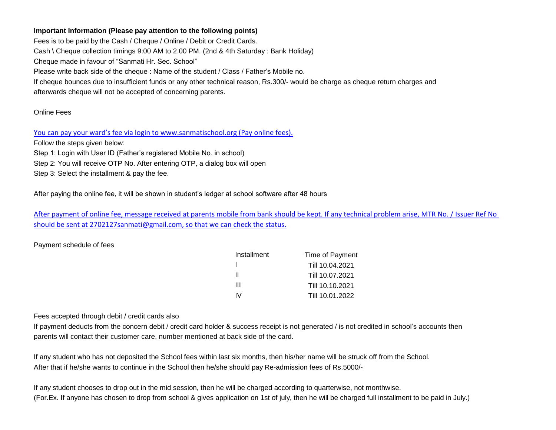## **Important Information (Please pay attention to the following points)**

Fees is to be paid by the Cash / Cheque / Online / Debit or Credit Cards. Cash \ Cheque collection timings 9:00 AM to 2.00 PM. (2nd & 4th Saturday : Bank Holiday) Cheque made in favour of "Sanmati Hr. Sec. School" Please write back side of the cheque : Name of the student / Class / Father's Mobile no. If cheque bounces due to insufficient funds or any other technical reason, Rs.300/- would be charge as cheque return charges and afterwards cheque will not be accepted of concerning parents.

### Online Fees

[You can pay your ward's fee via login to www.sanmatischool.org](http://sanmati.rayninfolabs.com/) (Pay online fees).

Follow the steps given below:

Step 1: Login with User ID (Father's registered Mobile No. in school)

Step 2: You will receive OTP No. After entering OTP, a dialog box will open

Step 3: Select the installment & pay the fee.

After paying the online fee, it will be shown in student's ledger at school software after 48 hours

[After payment of online fee, message received at parents mobil](mailto:2702127sanmati@gmail.com)e from bank should be kept. If any technical problem arise, MTR No. / Issuer Ref No [should be sent at 2702127sanmati@gmail.com, so that we can c](mailto:2702127sanmati@gmail.com)heck the status.

#### Payment schedule of fees

| Installment | Time of Payment |
|-------------|-----------------|
|             | Till 10.04.2021 |
| Ш           | Till 10.07.2021 |
| Ш           | Till 10.10.2021 |
| w           | Till 10.01.2022 |

#### Fees accepted through debit / credit cards also

If payment deducts from the concern debit / credit card holder & success receipt is not generated / is not credited in school's accounts then parents will contact their customer care, number mentioned at back side of the card.

If any student who has not deposited the School fees within last six months, then his/her name will be struck off from the School. After that if he/she wants to continue in the School then he/she should pay Re-admission fees of Rs.5000/-

If any student chooses to drop out in the mid session, then he will be charged according to quarterwise, not monthwise. (For.Ex. If anyone has chosen to drop from school & gives application on 1st of july, then he will be charged full installment to be paid in July.)